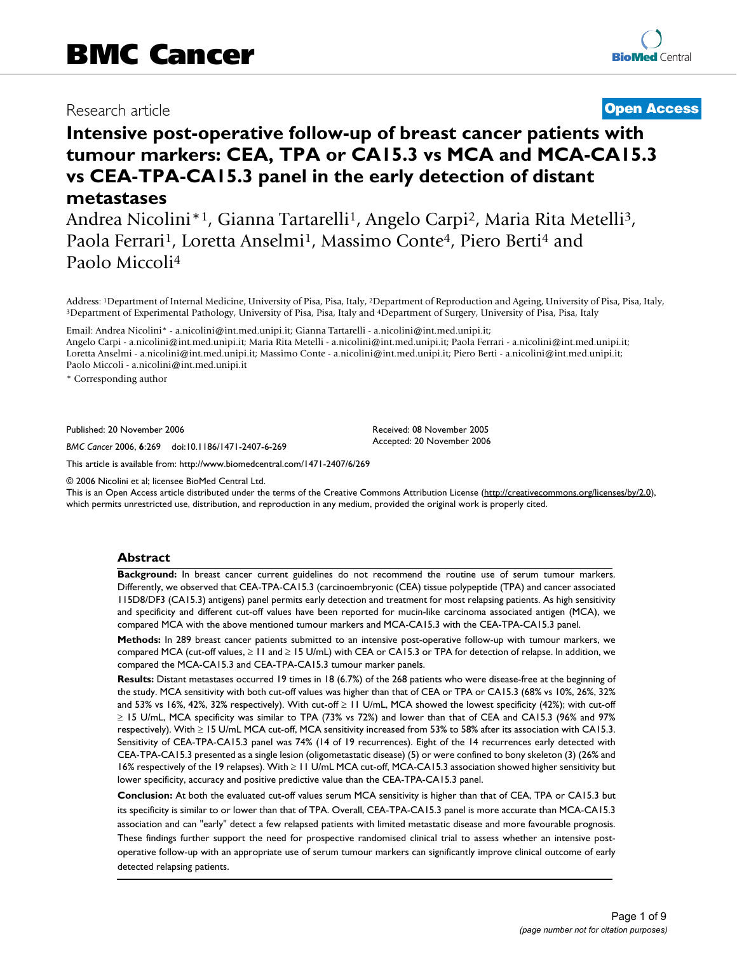# Research article **[Open Access](http://www.biomedcentral.com/info/about/charter/)**

# **Intensive post-operative follow-up of breast cancer patients with tumour markers: CEA, TPA or CA15.3 vs MCA and MCA-CA15.3 vs CEA-TPA-CA15.3 panel in the early detection of distant metastases**

Andrea Nicolini<sup>\*1</sup>, Gianna Tartarelli<sup>1</sup>, Angelo Carpi<sup>2</sup>, Maria Rita Metelli<sup>3</sup>, Paola Ferrari<sup>1</sup>, Loretta Anselmi<sup>1</sup>, Massimo Conte<sup>4</sup>, Piero Berti<sup>4</sup> and Paolo Miccoli4

Address: <sup>1</sup>Department of Internal Medicine, University of Pisa, Pisa, Italy, <sup>2</sup>Department of Reproduction and Ageing, University of Pisa, Pisa, Italy, <sup>3</sup>Department of Experimental Pathology, University of Pisa, Pisa, It

Email: Andrea Nicolini\* - a.nicolini@int.med.unipi.it; Gianna Tartarelli - a.nicolini@int.med.unipi.it;

Angelo Carpi - a.nicolini@int.med.unipi.it; Maria Rita Metelli - a.nicolini@int.med.unipi.it; Paola Ferrari - a.nicolini@int.med.unipi.it; Loretta Anselmi - a.nicolini@int.med.unipi.it; Massimo Conte - a.nicolini@int.med.unipi.it; Piero Berti - a.nicolini@int.med.unipi.it; Paolo Miccoli - a.nicolini@int.med.unipi.it

\* Corresponding author

Published: 20 November 2006

*BMC Cancer* 2006, **6**:269 doi:10.1186/1471-2407-6-269

[This article is available from: http://www.biomedcentral.com/1471-2407/6/269](http://www.biomedcentral.com/1471-2407/6/269)

© 2006 Nicolini et al; licensee BioMed Central Ltd.

This is an Open Access article distributed under the terms of the Creative Commons Attribution License [\(http://creativecommons.org/licenses/by/2.0\)](http://creativecommons.org/licenses/by/2.0), which permits unrestricted use, distribution, and reproduction in any medium, provided the original work is properly cited.

Received: 08 November 2005 Accepted: 20 November 2006

#### **Abstract**

**Background:** In breast cancer current guidelines do not recommend the routine use of serum tumour markers. Differently, we observed that CEA-TPA-CA15.3 (carcinoembryonic (CEA) tissue polypeptide (TPA) and cancer associated 115D8/DF3 (CA15.3) antigens) panel permits early detection and treatment for most relapsing patients. As high sensitivity and specificity and different cut-off values have been reported for mucin-like carcinoma associated antigen (MCA), we compared MCA with the above mentioned tumour markers and MCA-CA15.3 with the CEA-TPA-CA15.3 panel.

**Methods:** In 289 breast cancer patients submitted to an intensive post-operative follow-up with tumour markers, we compared MCA (cut-off values, ≥ 11 and ≥ 15 U/mL) with CEA or CA15.3 or TPA for detection of relapse. In addition, we compared the MCA-CA15.3 and CEA-TPA-CA15.3 tumour marker panels.

**Results:** Distant metastases occurred 19 times in 18 (6.7%) of the 268 patients who were disease-free at the beginning of the study. MCA sensitivity with both cut-off values was higher than that of CEA or TPA or CA15.3 (68% vs 10%, 26%, 32% and 53% vs 16%, 42%, 32% respectively). With cut-off ≥ 11 U/mL, MCA showed the lowest specificity (42%); with cut-off ≥ 15 U/mL, MCA specificity was similar to TPA (73% vs 72%) and lower than that of CEA and CA15.3 (96% and 97% respectively). With ≥ 15 U/mL MCA cut-off, MCA sensitivity increased from 53% to 58% after its association with CA15.3. Sensitivity of CEA-TPA-CA15.3 panel was 74% (14 of 19 recurrences). Eight of the 14 recurrences early detected with CEA-TPA-CA15.3 presented as a single lesion (oligometastatic disease) (5) or were confined to bony skeleton (3) (26% and 16% respectively of the 19 relapses). With ≥ 11 U/mL MCA cut-off, MCA-CA15.3 association showed higher sensitivity but lower specificity, accuracy and positive predictive value than the CEA-TPA-CA15.3 panel.

**Conclusion:** At both the evaluated cut-off values serum MCA sensitivity is higher than that of CEA, TPA or CA15.3 but its specificity is similar to or lower than that of TPA. Overall, CEA-TPA-CA15.3 panel is more accurate than MCA-CA15.3 association and can "early" detect a few relapsed patients with limited metastatic disease and more favourable prognosis. These findings further support the need for prospective randomised clinical trial to assess whether an intensive postoperative follow-up with an appropriate use of serum tumour markers can significantly improve clinical outcome of early detected relapsing patients.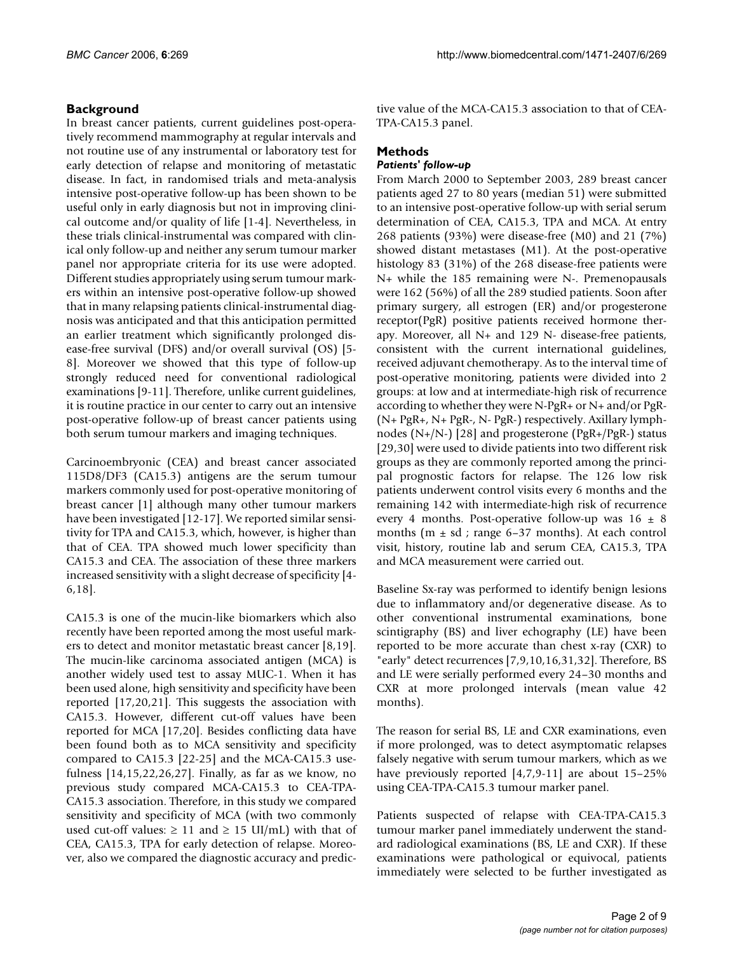# **Background**

In breast cancer patients, current guidelines post-operatively recommend mammography at regular intervals and not routine use of any instrumental or laboratory test for early detection of relapse and monitoring of metastatic disease. In fact, in randomised trials and meta-analysis intensive post-operative follow-up has been shown to be useful only in early diagnosis but not in improving clinical outcome and/or quality of life [1-4]. Nevertheless, in these trials clinical-instrumental was compared with clinical only follow-up and neither any serum tumour marker panel nor appropriate criteria for its use were adopted. Different studies appropriately using serum tumour markers within an intensive post-operative follow-up showed that in many relapsing patients clinical-instrumental diagnosis was anticipated and that this anticipation permitted an earlier treatment which significantly prolonged disease-free survival (DFS) and/or overall survival (OS) [5- 8]. Moreover we showed that this type of follow-up strongly reduced need for conventional radiological examinations [9-11]. Therefore, unlike current guidelines, it is routine practice in our center to carry out an intensive post-operative follow-up of breast cancer patients using both serum tumour markers and imaging techniques.

Carcinoembryonic (CEA) and breast cancer associated 115D8/DF3 (CA15.3) antigens are the serum tumour markers commonly used for post-operative monitoring of breast cancer [1] although many other tumour markers have been investigated [12-17]. We reported similar sensitivity for TPA and CA15.3, which, however, is higher than that of CEA. TPA showed much lower specificity than CA15.3 and CEA. The association of these three markers increased sensitivity with a slight decrease of specificity [4- 6,18].

CA15.3 is one of the mucin-like biomarkers which also recently have been reported among the most useful markers to detect and monitor metastatic breast cancer [8,19]. The mucin-like carcinoma associated antigen (MCA) is another widely used test to assay MUC-1. When it has been used alone, high sensitivity and specificity have been reported [17,20,21]. This suggests the association with CA15.3. However, different cut-off values have been reported for MCA [17,20]. Besides conflicting data have been found both as to MCA sensitivity and specificity compared to CA15.3 [22-25] and the MCA-CA15.3 usefulness [14,15,22,26,27]. Finally, as far as we know, no previous study compared MCA-CA15.3 to CEA-TPA-CA15.3 association. Therefore, in this study we compared sensitivity and specificity of MCA (with two commonly used cut-off values:  $\geq 11$  and  $\geq 15$  UI/mL) with that of CEA, CA15.3, TPA for early detection of relapse. Moreover, also we compared the diagnostic accuracy and predictive value of the MCA-CA15.3 association to that of CEA-TPA-CA15.3 panel.

# **Methods**

# *Patients' follow-up*

From March 2000 to September 2003, 289 breast cancer patients aged 27 to 80 years (median 51) were submitted to an intensive post-operative follow-up with serial serum determination of CEA, CA15.3, TPA and MCA. At entry 268 patients (93%) were disease-free (M0) and 21 (7%) showed distant metastases (M1). At the post-operative histology 83 (31%) of the 268 disease-free patients were N+ while the 185 remaining were N-. Premenopausals were 162 (56%) of all the 289 studied patients. Soon after primary surgery, all estrogen (ER) and/or progesterone receptor(PgR) positive patients received hormone therapy. Moreover, all N+ and 129 N- disease-free patients, consistent with the current international guidelines, received adjuvant chemotherapy. As to the interval time of post-operative monitoring, patients were divided into 2 groups: at low and at intermediate-high risk of recurrence according to whether they were N-PgR+ or N+ and/or PgR- (N+ PgR+, N+ PgR-, N- PgR-) respectively. Axillary lymphnodes (N+/N-) [28] and progesterone (PgR+/PgR-) status [29,30] were used to divide patients into two different risk groups as they are commonly reported among the principal prognostic factors for relapse. The 126 low risk patients underwent control visits every 6 months and the remaining 142 with intermediate-high risk of recurrence every 4 months. Post-operative follow-up was  $16 \pm 8$ months ( $m \pm sd$ ; range 6–37 months). At each control visit, history, routine lab and serum CEA, CA15.3, TPA and MCA measurement were carried out.

Baseline Sx-ray was performed to identify benign lesions due to inflammatory and/or degenerative disease. As to other conventional instrumental examinations, bone scintigraphy (BS) and liver echography (LE) have been reported to be more accurate than chest x-ray (CXR) to "early" detect recurrences [7,9,10,16,31,32]. Therefore, BS and LE were serially performed every 24–30 months and CXR at more prolonged intervals (mean value 42 months).

The reason for serial BS, LE and CXR examinations, even if more prolonged, was to detect asymptomatic relapses falsely negative with serum tumour markers, which as we have previously reported [4,7,9-11] are about 15-25% using CEA-TPA-CA15.3 tumour marker panel.

Patients suspected of relapse with CEA-TPA-CA15.3 tumour marker panel immediately underwent the standard radiological examinations (BS, LE and CXR). If these examinations were pathological or equivocal, patients immediately were selected to be further investigated as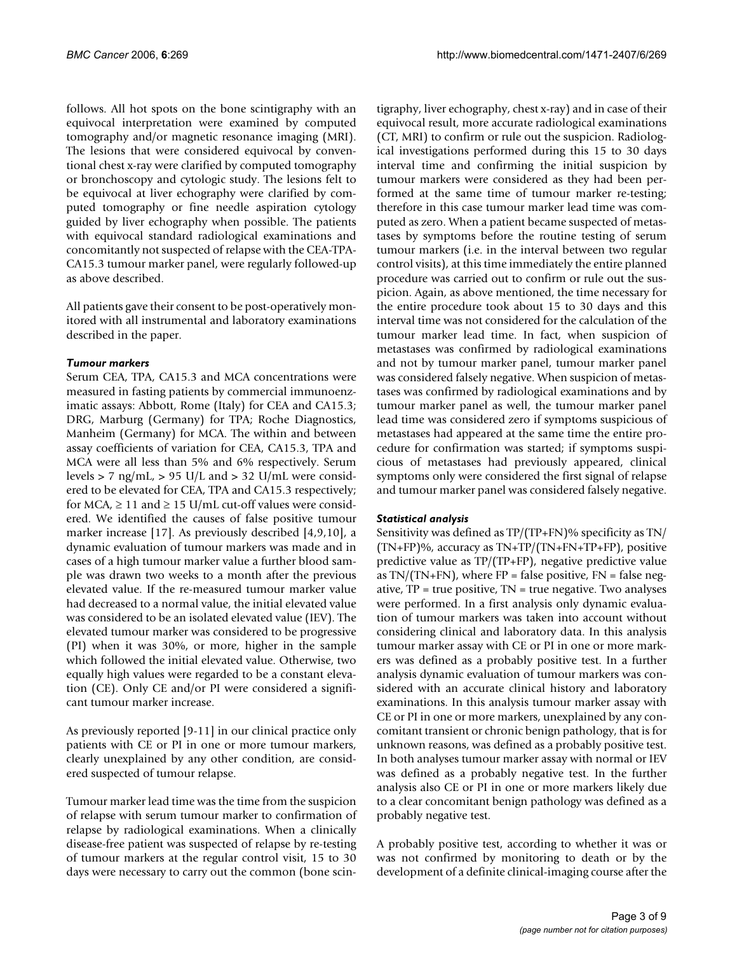follows. All hot spots on the bone scintigraphy with an equivocal interpretation were examined by computed tomography and/or magnetic resonance imaging (MRI). The lesions that were considered equivocal by conventional chest x-ray were clarified by computed tomography or bronchoscopy and cytologic study. The lesions felt to be equivocal at liver echography were clarified by computed tomography or fine needle aspiration cytology guided by liver echography when possible. The patients with equivocal standard radiological examinations and concomitantly not suspected of relapse with the CEA-TPA-CA15.3 tumour marker panel, were regularly followed-up as above described.

All patients gave their consent to be post-operatively monitored with all instrumental and laboratory examinations described in the paper.

# *Tumour markers*

Serum CEA, TPA, CA15.3 and MCA concentrations were measured in fasting patients by commercial immunoenzimatic assays: Abbott, Rome (Italy) for CEA and CA15.3; DRG, Marburg (Germany) for TPA; Roche Diagnostics, Manheim (Germany) for MCA. The within and between assay coefficients of variation for CEA, CA15.3, TPA and MCA were all less than 5% and 6% respectively. Serum levels > 7 ng/mL, > 95 U/L and > 32 U/mL were considered to be elevated for CEA, TPA and CA15.3 respectively; for MCA,  $\geq$  11 and  $\geq$  15 U/mL cut-off values were considered. We identified the causes of false positive tumour marker increase [17]. As previously described [4,9,10], a dynamic evaluation of tumour markers was made and in cases of a high tumour marker value a further blood sample was drawn two weeks to a month after the previous elevated value. If the re-measured tumour marker value had decreased to a normal value, the initial elevated value was considered to be an isolated elevated value (IEV). The elevated tumour marker was considered to be progressive (PI) when it was 30%, or more, higher in the sample which followed the initial elevated value. Otherwise, two equally high values were regarded to be a constant elevation (CE). Only CE and/or PI were considered a significant tumour marker increase.

As previously reported [9-11] in our clinical practice only patients with CE or PI in one or more tumour markers, clearly unexplained by any other condition, are considered suspected of tumour relapse.

Tumour marker lead time was the time from the suspicion of relapse with serum tumour marker to confirmation of relapse by radiological examinations. When a clinically disease-free patient was suspected of relapse by re-testing of tumour markers at the regular control visit, 15 to 30 days were necessary to carry out the common (bone scintigraphy, liver echography, chest x-ray) and in case of their equivocal result, more accurate radiological examinations (CT, MRI) to confirm or rule out the suspicion. Radiological investigations performed during this 15 to 30 days interval time and confirming the initial suspicion by tumour markers were considered as they had been performed at the same time of tumour marker re-testing; therefore in this case tumour marker lead time was computed as zero. When a patient became suspected of metastases by symptoms before the routine testing of serum tumour markers (i.e. in the interval between two regular control visits), at this time immediately the entire planned procedure was carried out to confirm or rule out the suspicion. Again, as above mentioned, the time necessary for the entire procedure took about 15 to 30 days and this interval time was not considered for the calculation of the tumour marker lead time. In fact, when suspicion of metastases was confirmed by radiological examinations and not by tumour marker panel, tumour marker panel was considered falsely negative. When suspicion of metastases was confirmed by radiological examinations and by tumour marker panel as well, the tumour marker panel lead time was considered zero if symptoms suspicious of metastases had appeared at the same time the entire procedure for confirmation was started; if symptoms suspicious of metastases had previously appeared, clinical symptoms only were considered the first signal of relapse and tumour marker panel was considered falsely negative.

# *Statistical analysis*

Sensitivity was defined as TP/(TP+FN)% specificity as TN/ (TN+FP)%, accuracy as TN+TP/(TN+FN+TP+FP), positive predictive value as TP/(TP+FP), negative predictive value as  $TN/(TN+FN)$ , where  $FP = false$  positive,  $FN = false$  negative,  $TP = true$  positive,  $TN = true$  negative. Two analyses were performed. In a first analysis only dynamic evaluation of tumour markers was taken into account without considering clinical and laboratory data. In this analysis tumour marker assay with CE or PI in one or more markers was defined as a probably positive test. In a further analysis dynamic evaluation of tumour markers was considered with an accurate clinical history and laboratory examinations. In this analysis tumour marker assay with CE or PI in one or more markers, unexplained by any concomitant transient or chronic benign pathology, that is for unknown reasons, was defined as a probably positive test. In both analyses tumour marker assay with normal or IEV was defined as a probably negative test. In the further analysis also CE or PI in one or more markers likely due to a clear concomitant benign pathology was defined as a probably negative test.

A probably positive test, according to whether it was or was not confirmed by monitoring to death or by the development of a definite clinical-imaging course after the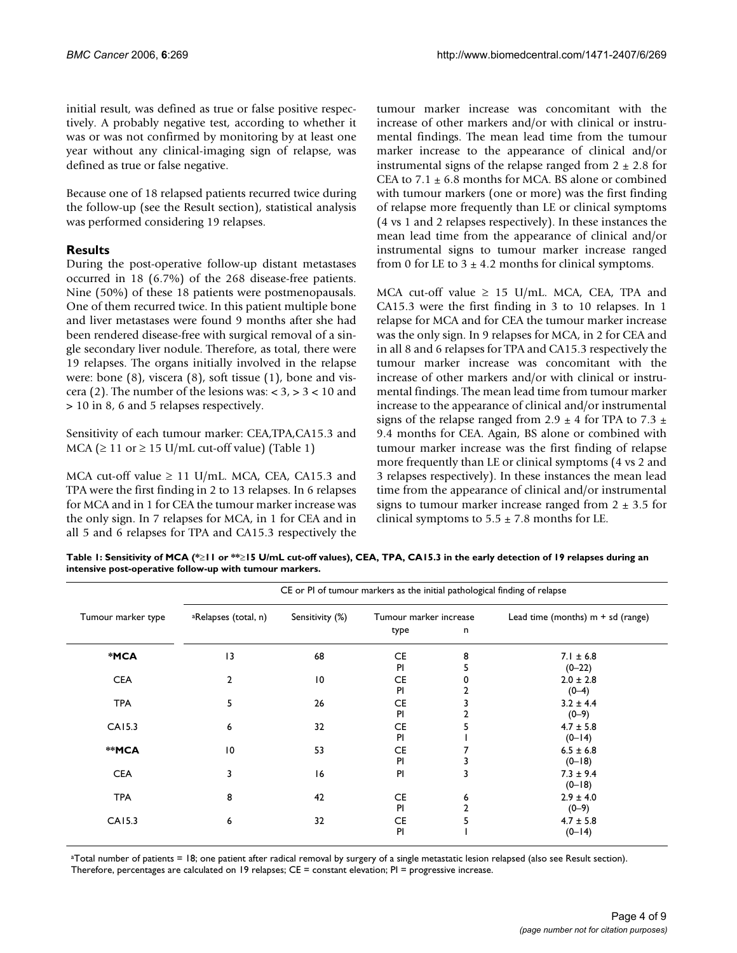initial result, was defined as true or false positive respectively. A probably negative test, according to whether it was or was not confirmed by monitoring by at least one year without any clinical-imaging sign of relapse, was defined as true or false negative.

Because one of 18 relapsed patients recurred twice during the follow-up (see the Result section), statistical analysis was performed considering 19 relapses.

# **Results**

During the post-operative follow-up distant metastases occurred in 18 (6.7%) of the 268 disease-free patients. Nine (50%) of these 18 patients were postmenopausals. One of them recurred twice. In this patient multiple bone and liver metastases were found 9 months after she had been rendered disease-free with surgical removal of a single secondary liver nodule. Therefore, as total, there were 19 relapses. The organs initially involved in the relapse were: bone (8), viscera (8), soft tissue (1), bone and viscera (2). The number of the lesions was:  $< 3$ ,  $> 3 < 10$  and > 10 in 8, 6 and 5 relapses respectively.

Sensitivity of each tumour marker: CEA,TPA,CA15.3 and MCA ( $\geq$  11 or  $\geq$  15 U/mL cut-off value) (Table 1)

MCA cut-off value  $\geq$  11 U/mL. MCA, CEA, CA15.3 and TPA were the first finding in 2 to 13 relapses. In 6 relapses for MCA and in 1 for CEA the tumour marker increase was the only sign. In 7 relapses for MCA, in 1 for CEA and in all 5 and 6 relapses for TPA and CA15.3 respectively the tumour marker increase was concomitant with the increase of other markers and/or with clinical or instrumental findings. The mean lead time from the tumour marker increase to the appearance of clinical and/or instrumental signs of the relapse ranged from  $2 \pm 2.8$  for CEA to  $7.1 \pm 6.8$  months for MCA. BS alone or combined with tumour markers (one or more) was the first finding of relapse more frequently than LE or clinical symptoms (4 vs 1 and 2 relapses respectively). In these instances the mean lead time from the appearance of clinical and/or instrumental signs to tumour marker increase ranged from 0 for LE to  $3 \pm 4.2$  months for clinical symptoms.

MCA cut-off value  $\geq$  15 U/mL. MCA, CEA, TPA and CA15.3 were the first finding in 3 to 10 relapses. In 1 relapse for MCA and for CEA the tumour marker increase was the only sign. In 9 relapses for MCA, in 2 for CEA and in all 8 and 6 relapses for TPA and CA15.3 respectively the tumour marker increase was concomitant with the increase of other markers and/or with clinical or instrumental findings. The mean lead time from tumour marker increase to the appearance of clinical and/or instrumental signs of the relapse ranged from 2.9  $\pm$  4 for TPA to 7.3  $\pm$ 9.4 months for CEA. Again, BS alone or combined with tumour marker increase was the first finding of relapse more frequently than LE or clinical symptoms (4 vs 2 and 3 relapses respectively). In these instances the mean lead time from the appearance of clinical and/or instrumental signs to tumour marker increase ranged from  $2 \pm 3.5$  for clinical symptoms to  $5.5 \pm 7.8$  months for LE.

**Table 1: Sensitivity of MCA (\***≥**11 or \*\***≥**15 U/mL cut-off values), CEA, TPA, CA15.3 in the early detection of 19 relapses during an intensive post-operative follow-up with tumour markers.**

|                    | CE or PI of tumour markers as the initial pathological finding of relapse |                 |                        |   |                                     |  |  |
|--------------------|---------------------------------------------------------------------------|-----------------|------------------------|---|-------------------------------------|--|--|
| Tumour marker type | <sup>a</sup> Relapses (total, n)                                          | Sensitivity (%) | Tumour marker increase |   | Lead time (months) $m + sd$ (range) |  |  |
|                    |                                                                           |                 | type                   | n |                                     |  |  |
| *MCA               | 13                                                                        | 68              | <b>CE</b>              | 8 | $7.1 \pm 6.8$                       |  |  |
|                    |                                                                           |                 | <b>PI</b>              |   | $(0-22)$                            |  |  |
| <b>CEA</b>         | $\overline{2}$                                                            | 10              | <b>CE</b>              |   | $2.0 \pm 2.8$                       |  |  |
|                    |                                                                           |                 | <b>PI</b>              |   | $(0-4)$                             |  |  |
| <b>TPA</b>         | 5                                                                         | 26              | CE                     |   | $3.2 \pm 4.4$                       |  |  |
|                    |                                                                           |                 | <b>PI</b>              |   | $(0-9)$                             |  |  |
| CA15.3             | 6                                                                         | 32              | <b>CE</b>              |   | $4.7 \pm 5.8$                       |  |  |
|                    |                                                                           |                 | <b>PI</b>              |   | $(0-14)$                            |  |  |
| **MCA              | 10                                                                        | 53              | <b>CE</b>              |   | $6.5 \pm 6.8$                       |  |  |
|                    |                                                                           |                 | <b>PI</b>              |   | $(0-18)$                            |  |  |
| <b>CEA</b>         | 3                                                                         | 16              | PI                     | 3 | $7.3 \pm 9.4$                       |  |  |
|                    |                                                                           |                 |                        |   | $(0-18)$                            |  |  |
| <b>TPA</b>         | 8                                                                         | 42              | CE                     | 6 | $2.9 \pm 4.0$                       |  |  |
|                    |                                                                           |                 | <b>PI</b>              |   | $(0-9)$                             |  |  |
| CA15.3             | 6                                                                         | 32              | <b>CE</b>              |   | $4.7 \pm 5.8$                       |  |  |
|                    |                                                                           |                 | PI                     |   | $(0-14)$                            |  |  |

aTotal number of patients = 18; one patient after radical removal by surgery of a single metastatic lesion relapsed (also see Result section). Therefore, percentages are calculated on 19 relapses; CE = constant elevation; PI = progressive increase.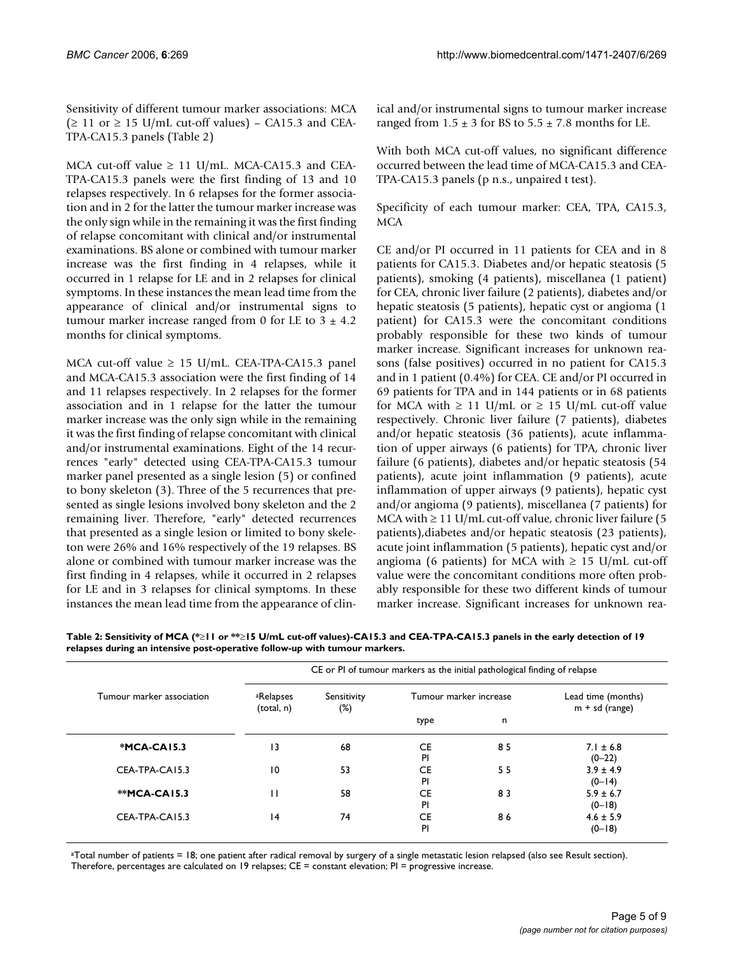Sensitivity of different tumour marker associations: MCA  $\geq$  11 or ≥ 15 U/mL cut-off values) – CA15.3 and CEA-TPA-CA15.3 panels (Table 2)

MCA cut-off value  $\geq$  11 U/mL. MCA-CA15.3 and CEA-TPA-CA15.3 panels were the first finding of 13 and 10 relapses respectively. In 6 relapses for the former association and in 2 for the latter the tumour marker increase was the only sign while in the remaining it was the first finding of relapse concomitant with clinical and/or instrumental examinations. BS alone or combined with tumour marker increase was the first finding in 4 relapses, while it occurred in 1 relapse for LE and in 2 relapses for clinical symptoms. In these instances the mean lead time from the appearance of clinical and/or instrumental signs to tumour marker increase ranged from 0 for LE to  $3 \pm 4.2$ months for clinical symptoms.

MCA cut-off value  $\geq$  15 U/mL. CEA-TPA-CA15.3 panel and MCA-CA15.3 association were the first finding of 14 and 11 relapses respectively. In 2 relapses for the former association and in 1 relapse for the latter the tumour marker increase was the only sign while in the remaining it was the first finding of relapse concomitant with clinical and/or instrumental examinations. Eight of the 14 recurrences "early" detected using CEA-TPA-CA15.3 tumour marker panel presented as a single lesion (5) or confined to bony skeleton (3). Three of the 5 recurrences that presented as single lesions involved bony skeleton and the 2 remaining liver. Therefore, "early" detected recurrences that presented as a single lesion or limited to bony skeleton were 26% and 16% respectively of the 19 relapses. BS alone or combined with tumour marker increase was the first finding in 4 relapses, while it occurred in 2 relapses for LE and in 3 relapses for clinical symptoms. In these instances the mean lead time from the appearance of clinical and/or instrumental signs to tumour marker increase ranged from  $1.5 \pm 3$  for BS to  $5.5 \pm 7.8$  months for LE.

With both MCA cut-off values, no significant difference occurred between the lead time of MCA-CA15.3 and CEA-TPA-CA15.3 panels (p n.s., unpaired t test).

Specificity of each tumour marker: CEA, TPA, CA15.3, MCA

CE and/or PI occurred in 11 patients for CEA and in 8 patients for CA15.3. Diabetes and/or hepatic steatosis (5 patients), smoking (4 patients), miscellanea (1 patient) for CEA, chronic liver failure (2 patients), diabetes and/or hepatic steatosis (5 patients), hepatic cyst or angioma (1 patient) for CA15.3 were the concomitant conditions probably responsible for these two kinds of tumour marker increase. Significant increases for unknown reasons (false positives) occurred in no patient for CA15.3 and in 1 patient (0.4%) for CEA. CE and/or PI occurred in 69 patients for TPA and in 144 patients or in 68 patients for MCA with  $\geq 11$  U/mL or  $\geq 15$  U/mL cut-off value respectively. Chronic liver failure (7 patients), diabetes and/or hepatic steatosis (36 patients), acute inflammation of upper airways (6 patients) for TPA, chronic liver failure (6 patients), diabetes and/or hepatic steatosis (54 patients), acute joint inflammation (9 patients), acute inflammation of upper airways (9 patients), hepatic cyst and/or angioma (9 patients), miscellanea (7 patients) for MCA with  $\geq$  11 U/mL cut-off value, chronic liver failure (5 patients),diabetes and/or hepatic steatosis (23 patients), acute joint inflammation (5 patients), hepatic cyst and/or angioma (6 patients) for MCA with  $\geq$  15 U/mL cut-off value were the concomitant conditions more often probably responsible for these two different kinds of tumour marker increase. Significant increases for unknown rea-

|                           | CE or PI of tumour markers as the initial pathological finding of relapse |                       |                        |    |                                        |  |  |
|---------------------------|---------------------------------------------------------------------------|-----------------------|------------------------|----|----------------------------------------|--|--|
| Tumour marker association | <sup>a</sup> Relapses<br>(total, n)                                       | Sensitivity<br>$(\%)$ | Tumour marker increase |    | Lead time (months)<br>$m + sd$ (range) |  |  |
|                           |                                                                           |                       | type                   | n  |                                        |  |  |
| *MCA-CA15.3               | 13                                                                        | 68                    | CE<br>PI               | 85 | $7.1 \pm 6.8$<br>$(0-22)$              |  |  |
| CEA-TPA-CA15.3            | 10                                                                        | 53                    | CE<br>PI               | 55 | $3.9 \pm 4.9$<br>$(0-14)$              |  |  |
| <b>**MCA-CA15.3</b>       | Н                                                                         | 58                    | CE<br>PI               | 83 | $5.9 \pm 6.7$<br>$(0-18)$              |  |  |
| CEA-TPA-CA15.3            | 4                                                                         | 74                    | CE<br>PI               | 86 | $4.6 \pm 5.9$<br>$(0-18)$              |  |  |

**Table 2: Sensitivity of MCA (\***≥**11 or \*\***≥**15 U/mL cut-off values)-CA15.3 and CEA-TPA-CA15.3 panels in the early detection of 19 relapses during an intensive post-operative follow-up with tumour markers.**

aTotal number of patients = 18; one patient after radical removal by surgery of a single metastatic lesion relapsed (also see Result section). Therefore, percentages are calculated on 19 relapses; CE = constant elevation; PI = progressive increase.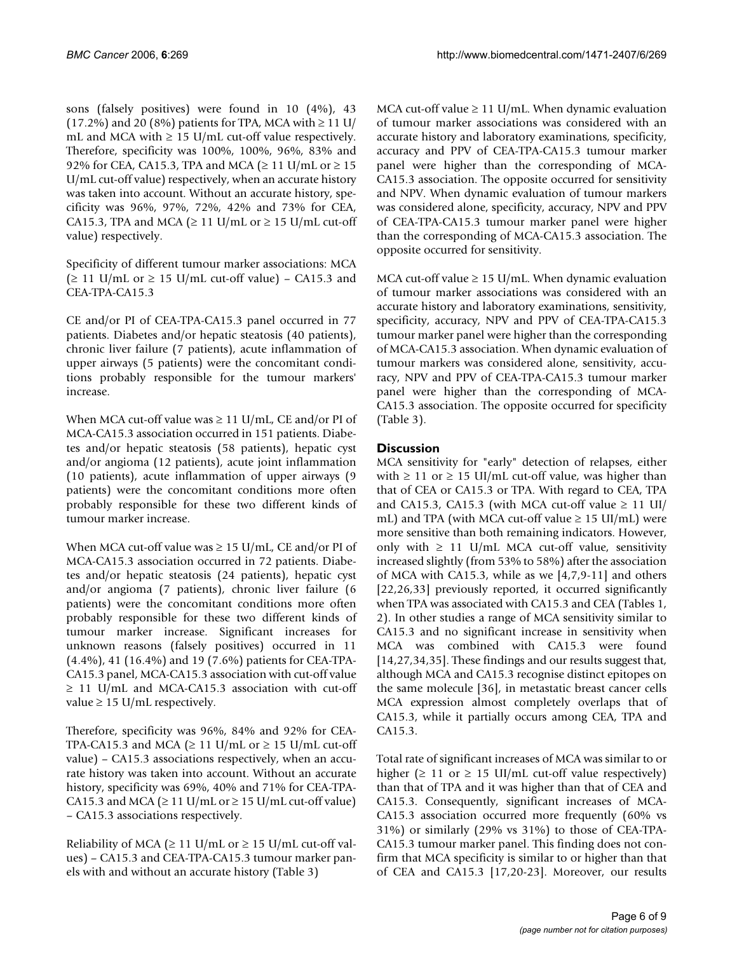sons (falsely positives) were found in 10 (4%), 43 (17.2%) and 20 (8%) patients for TPA, MCA with  $\geq 11$  U/ mL and MCA with  $\geq$  15 U/mL cut-off value respectively. Therefore, specificity was 100%, 100%, 96%, 83% and 92% for CEA, CA15.3, TPA and MCA (≥ 11 U/mL or ≥ 15 U/mL cut-off value) respectively, when an accurate history was taken into account. Without an accurate history, specificity was 96%, 97%, 72%, 42% and 73% for CEA, CA15.3, TPA and MCA ( $\geq$  11 U/mL or  $\geq$  15 U/mL cut-off value) respectively.

Specificity of different tumour marker associations: MCA  $(≥ 11$  U/mL or  $≥ 15$  U/mL cut-off value) – CA15.3 and CEA-TPA-CA15.3

CE and/or PI of CEA-TPA-CA15.3 panel occurred in 77 patients. Diabetes and/or hepatic steatosis (40 patients), chronic liver failure (7 patients), acute inflammation of upper airways (5 patients) were the concomitant conditions probably responsible for the tumour markers' increase.

When MCA cut-off value was  $\geq 11$  U/mL, CE and/or PI of MCA-CA15.3 association occurred in 151 patients. Diabetes and/or hepatic steatosis (58 patients), hepatic cyst and/or angioma (12 patients), acute joint inflammation (10 patients), acute inflammation of upper airways (9 patients) were the concomitant conditions more often probably responsible for these two different kinds of tumour marker increase.

When MCA cut-off value was  $\geq 15$  U/mL, CE and/or PI of MCA-CA15.3 association occurred in 72 patients. Diabetes and/or hepatic steatosis (24 patients), hepatic cyst and/or angioma (7 patients), chronic liver failure (6 patients) were the concomitant conditions more often probably responsible for these two different kinds of tumour marker increase. Significant increases for unknown reasons (falsely positives) occurred in 11 (4.4%), 41 (16.4%) and 19 (7.6%) patients for CEA-TPA-CA15.3 panel, MCA-CA15.3 association with cut-off value  $\geq$  11 U/mL and MCA-CA15.3 association with cut-off value  $\geq 15$  U/mL respectively.

Therefore, specificity was 96%, 84% and 92% for CEA-TPA-CA15.3 and MCA ( $\geq$  11 U/mL or  $\geq$  15 U/mL cut-off value) – CA15.3 associations respectively, when an accurate history was taken into account. Without an accurate history, specificity was 69%, 40% and 71% for CEA-TPA-CA15.3 and MCA ( $\geq$  11 U/mL or  $\geq$  15 U/mL cut-off value) – CA15.3 associations respectively.

Reliability of MCA ( $\geq$  11 U/mL or  $\geq$  15 U/mL cut-off values) – CA15.3 and CEA-TPA-CA15.3 tumour marker panels with and without an accurate history (Table 3)

MCA cut-off value  $\geq 11$  U/mL. When dynamic evaluation of tumour marker associations was considered with an accurate history and laboratory examinations, specificity, accuracy and PPV of CEA-TPA-CA15.3 tumour marker panel were higher than the corresponding of MCA-CA15.3 association. The opposite occurred for sensitivity and NPV. When dynamic evaluation of tumour markers was considered alone, specificity, accuracy, NPV and PPV of CEA-TPA-CA15.3 tumour marker panel were higher than the corresponding of MCA-CA15.3 association. The opposite occurred for sensitivity.

MCA cut-off value  $\geq 15$  U/mL. When dynamic evaluation of tumour marker associations was considered with an accurate history and laboratory examinations, sensitivity, specificity, accuracy, NPV and PPV of CEA-TPA-CA15.3 tumour marker panel were higher than the corresponding of MCA-CA15.3 association. When dynamic evaluation of tumour markers was considered alone, sensitivity, accuracy, NPV and PPV of CEA-TPA-CA15.3 tumour marker panel were higher than the corresponding of MCA-CA15.3 association. The opposite occurred for specificity (Table 3).

# **Discussion**

MCA sensitivity for "early" detection of relapses, either with  $\geq 11$  or  $\geq 15$  UI/mL cut-off value, was higher than that of CEA or CA15.3 or TPA. With regard to CEA, TPA and CA15.3, CA15.3 (with MCA cut-off value  $\geq$  11 UI/ mL) and TPA (with MCA cut-off value  $\geq$  15 UI/mL) were more sensitive than both remaining indicators. However, only with  $\geq 11$  U/mL MCA cut-off value, sensitivity increased slightly (from 53% to 58%) after the association of MCA with CA15.3, while as we [4,7,9-11] and others [22,26,33] previously reported, it occurred significantly when TPA was associated with CA15.3 and CEA (Tables 1, 2). In other studies a range of MCA sensitivity similar to CA15.3 and no significant increase in sensitivity when MCA was combined with CA15.3 were found [14,27,34,35]. These findings and our results suggest that, although MCA and CA15.3 recognise distinct epitopes on the same molecule [36], in metastatic breast cancer cells MCA expression almost completely overlaps that of CA15.3, while it partially occurs among CEA, TPA and CA15.3.

Total rate of significant increases of MCA was similar to or higher ( $\geq 11$  or  $\geq 15$  UI/mL cut-off value respectively) than that of TPA and it was higher than that of CEA and CA15.3. Consequently, significant increases of MCA-CA15.3 association occurred more frequently (60% vs 31%) or similarly (29% vs 31%) to those of CEA-TPA-CA15.3 tumour marker panel. This finding does not confirm that MCA specificity is similar to or higher than that of CEA and CA15.3 [17,20-23]. Moreover, our results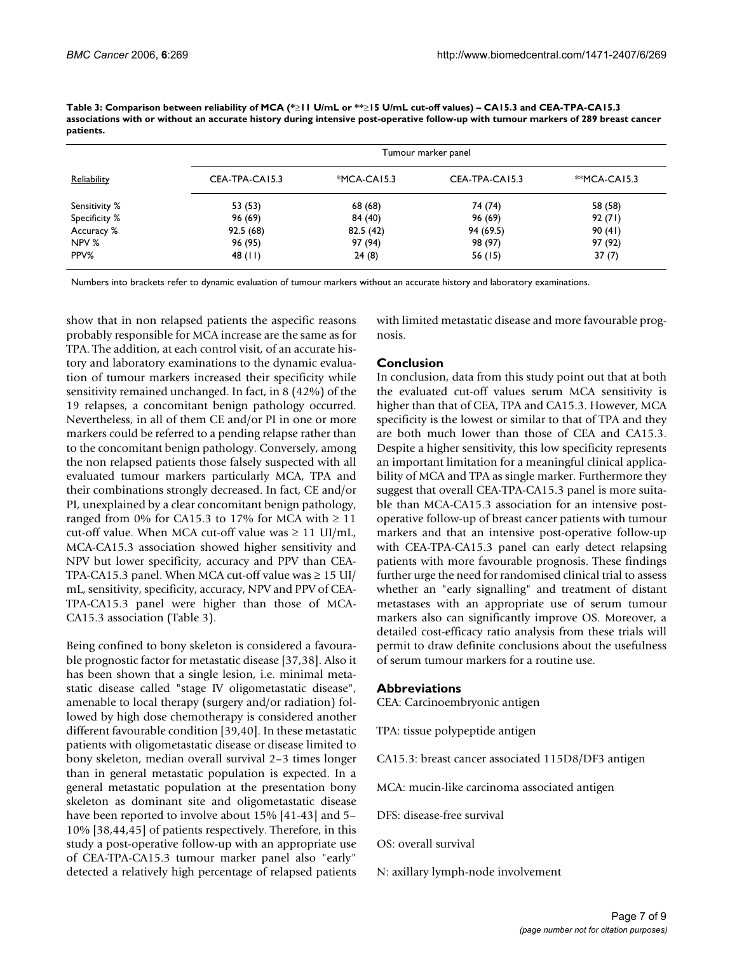**Table 3: Comparison between reliability of MCA (\***≥**11 U/mL or \*\***≥**15 U/mL cut-off values) – CA15.3 and CEA-TPA-CA15.3 associations with or without an accurate history during intensive post-operative follow-up with tumour markers of 289 breast cancer patients.**

| Reliability   | Tumour marker panel |             |                |               |  |  |  |
|---------------|---------------------|-------------|----------------|---------------|--|--|--|
|               | CEA-TPA-CA15.3      | *MCA-CA15.3 | CEA-TPA-CA15.3 | $*MCA-CA15.3$ |  |  |  |
| Sensitivity % | 53 (53)             | 68 (68)     | 74 (74)        | 58 (58)       |  |  |  |
| Specificity % | 96 (69)             | 84 (40)     | 96 (69)        | 92(71)        |  |  |  |
| Accuracy %    | 92.5(68)            | 82.5 (42)   | 94 (69.5)      | 90(41)        |  |  |  |
| NPV %         | 96 (95)             | 97 (94)     | 98 (97)        | 97 (92)       |  |  |  |
| PPV%          | 48 (11)             | 24(8)       | 56 (15)        | 37(7)         |  |  |  |

Numbers into brackets refer to dynamic evaluation of tumour markers without an accurate history and laboratory examinations.

show that in non relapsed patients the aspecific reasons probably responsible for MCA increase are the same as for TPA. The addition, at each control visit, of an accurate history and laboratory examinations to the dynamic evaluation of tumour markers increased their specificity while sensitivity remained unchanged. In fact, in 8 (42%) of the 19 relapses, a concomitant benign pathology occurred. Nevertheless, in all of them CE and/or PI in one or more markers could be referred to a pending relapse rather than to the concomitant benign pathology. Conversely, among the non relapsed patients those falsely suspected with all evaluated tumour markers particularly MCA, TPA and their combinations strongly decreased. In fact, CE and/or PI, unexplained by a clear concomitant benign pathology, ranged from 0% for CA15.3 to 17% for MCA with  $\geq 11$ cut-off value. When MCA cut-off value was  $\geq 11$  UI/mL, MCA-CA15.3 association showed higher sensitivity and NPV but lower specificity, accuracy and PPV than CEA-TPA-CA15.3 panel. When MCA cut-off value was  $\geq 15$  UI/ mL, sensitivity, specificity, accuracy, NPV and PPV of CEA-TPA-CA15.3 panel were higher than those of MCA-CA15.3 association (Table 3).

Being confined to bony skeleton is considered a favourable prognostic factor for metastatic disease [37,38]. Also it has been shown that a single lesion, i.e. minimal metastatic disease called "stage IV oligometastatic disease", amenable to local therapy (surgery and/or radiation) followed by high dose chemotherapy is considered another different favourable condition [39,40]. In these metastatic patients with oligometastatic disease or disease limited to bony skeleton, median overall survival 2–3 times longer than in general metastatic population is expected. In a general metastatic population at the presentation bony skeleton as dominant site and oligometastatic disease have been reported to involve about 15% [41-43] and 5– 10% [38,44,45] of patients respectively. Therefore, in this study a post-operative follow-up with an appropriate use of CEA-TPA-CA15.3 tumour marker panel also "early" detected a relatively high percentage of relapsed patients with limited metastatic disease and more favourable prognosis.

# **Conclusion**

In conclusion, data from this study point out that at both the evaluated cut-off values serum MCA sensitivity is higher than that of CEA, TPA and CA15.3. However, MCA specificity is the lowest or similar to that of TPA and they are both much lower than those of CEA and CA15.3. Despite a higher sensitivity, this low specificity represents an important limitation for a meaningful clinical applicability of MCA and TPA as single marker. Furthermore they suggest that overall CEA-TPA-CA15.3 panel is more suitable than MCA-CA15.3 association for an intensive postoperative follow-up of breast cancer patients with tumour markers and that an intensive post-operative follow-up with CEA-TPA-CA15.3 panel can early detect relapsing patients with more favourable prognosis. These findings further urge the need for randomised clinical trial to assess whether an "early signalling" and treatment of distant metastases with an appropriate use of serum tumour markers also can significantly improve OS. Moreover, a detailed cost-efficacy ratio analysis from these trials will permit to draw definite conclusions about the usefulness of serum tumour markers for a routine use.

# **Abbreviations**

CEA: Carcinoembryonic antigen

TPA: tissue polypeptide antigen

CA15.3: breast cancer associated 115D8/DF3 antigen

MCA: mucin-like carcinoma associated antigen

DFS: disease-free survival

OS: overall survival

N: axillary lymph-node involvement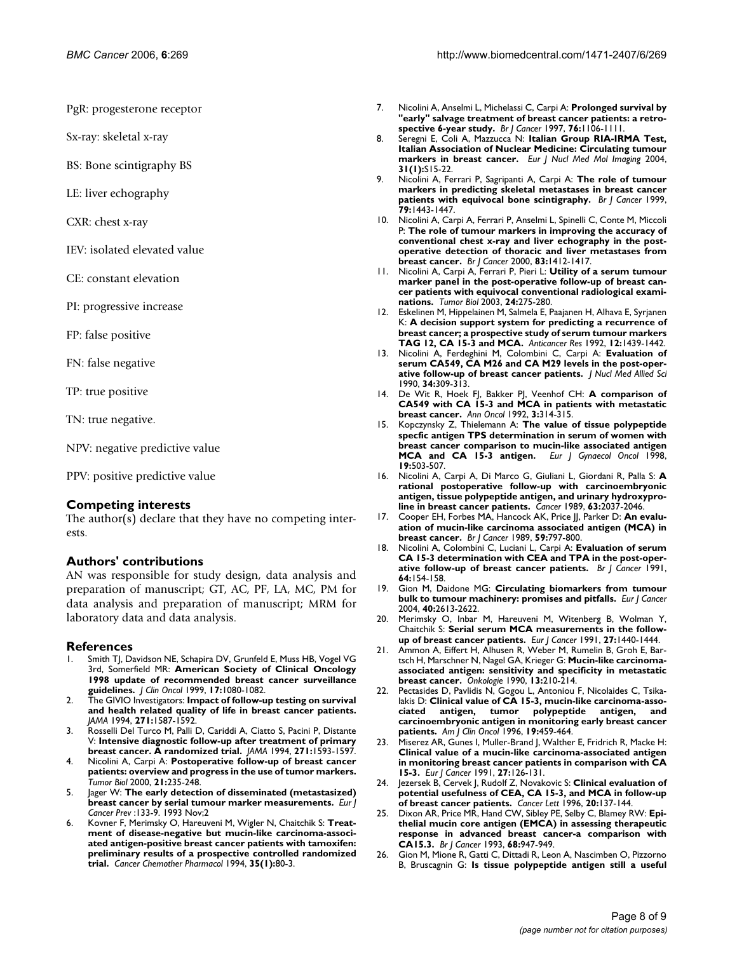PgR: progesterone receptor

Sx-ray: skeletal x-ray

BS: Bone scintigraphy BS

LE: liver echography

CXR: chest x-ray

IEV: isolated elevated value

CE: constant elevation

PI: progressive increase

FP: false positive

FN: false negative

TP: true positive

TN: true negative.

NPV: negative predictive value

PPV: positive predictive value

#### **Competing interests**

The author(s) declare that they have no competing interests.

#### **Authors' contributions**

AN was responsible for study design, data analysis and preparation of manuscript; GT, AC, PF, LA, MC, PM for data analysis and preparation of manuscript; MRM for laboratory data and data analysis.

#### **References**

- Smith TJ, Davidson NE, Schapira DV, Grunfeld E, Muss HB, Vogel VG 3rd, Somerfield MR: **[American Society of Clinical Oncology](http://www.ncbi.nlm.nih.gov/entrez/query.fcgi?cmd=Retrieve&db=PubMed&dopt=Abstract&list_uids=10071303) [1998 update of recommended breast cancer surveillance](http://www.ncbi.nlm.nih.gov/entrez/query.fcgi?cmd=Retrieve&db=PubMed&dopt=Abstract&list_uids=10071303) [guidelines.](http://www.ncbi.nlm.nih.gov/entrez/query.fcgi?cmd=Retrieve&db=PubMed&dopt=Abstract&list_uids=10071303)** *J Clin Oncol* 1999, **17:**1080-1082.
- 2. The GIVIO Investigators: **[Impact of follow-up testing on survival](http://www.ncbi.nlm.nih.gov/entrez/query.fcgi?cmd=Retrieve&db=PubMed&dopt=Abstract&list_uids=8182811) [and health related quality of life in breast cancer patients.](http://www.ncbi.nlm.nih.gov/entrez/query.fcgi?cmd=Retrieve&db=PubMed&dopt=Abstract&list_uids=8182811)** *JAMA* 1994, **271:**1587-1592.
- 3. Rosselli Del Turco M, Palli D, Cariddi A, Ciatto S, Pacini P, Distante V: **[Intensive diagnostic follow-up after treatment of primary](http://www.ncbi.nlm.nih.gov/entrez/query.fcgi?cmd=Retrieve&db=PubMed&dopt=Abstract&list_uids=7848404) [breast cancer. A randomized trial.](http://www.ncbi.nlm.nih.gov/entrez/query.fcgi?cmd=Retrieve&db=PubMed&dopt=Abstract&list_uids=7848404)** *JAMA* 1994, **271:**1593-1597.
- 4. Nicolini A, Carpi A: **Postoperative follow-up of breast cancer patients: overview and progress in the use of tumor markers.** *Tumor Biol* 2000, **21:**235-248.
- 5. Jager W: **The early detection of disseminated (metastasized) breast cancer by serial tumour marker measurements.** *Eur J Cancer Prev* :133-9. 1993 Nov;2
- 6. Kovner F, Merimsky O, Hareuveni M, Wigler N, Chaitchik S: **[Treat](http://www.ncbi.nlm.nih.gov/entrez/query.fcgi?cmd=Retrieve&db=PubMed&dopt=Abstract&list_uids=7987981)ment of disease-negative but mucin-like carcinoma-associ[ated antigen-positive breast cancer patients with tamoxifen:](http://www.ncbi.nlm.nih.gov/entrez/query.fcgi?cmd=Retrieve&db=PubMed&dopt=Abstract&list_uids=7987981) preliminary results of a prospective controlled randomized [trial.](http://www.ncbi.nlm.nih.gov/entrez/query.fcgi?cmd=Retrieve&db=PubMed&dopt=Abstract&list_uids=7987981)** *Cancer Chemother Pharmacol* 1994, **35(1):**80-3.
- 7. Nicolini A, Anselmi L, Michelassi C, Carpi A: **[Prolonged survival by](http://www.ncbi.nlm.nih.gov/entrez/query.fcgi?cmd=Retrieve&db=PubMed&dopt=Abstract&list_uids=9376274) ["early" salvage treatment of breast cancer patients: a retro](http://www.ncbi.nlm.nih.gov/entrez/query.fcgi?cmd=Retrieve&db=PubMed&dopt=Abstract&list_uids=9376274)[spective 6-year study.](http://www.ncbi.nlm.nih.gov/entrez/query.fcgi?cmd=Retrieve&db=PubMed&dopt=Abstract&list_uids=9376274)** *Br J Cancer* 1997, **76:**1106-1111.
- 8. Seregni E, Coli A, Mazzucca N: **[Italian Group RIA-IRMA Test,](http://www.ncbi.nlm.nih.gov/entrez/query.fcgi?cmd=Retrieve&db=PubMed&dopt=Abstract&list_uids=15127239) [Italian Association of Nuclear Medicine: Circulating tumour](http://www.ncbi.nlm.nih.gov/entrez/query.fcgi?cmd=Retrieve&db=PubMed&dopt=Abstract&list_uids=15127239) [markers in breast cancer.](http://www.ncbi.nlm.nih.gov/entrez/query.fcgi?cmd=Retrieve&db=PubMed&dopt=Abstract&list_uids=15127239)** *Eur J Nucl Med Mol Imaging* 2004, **31(1):**S15-22.
- 9. Nicolini A, Ferrari P, Sagripanti A, Carpi A: **[The role of tumour](http://www.ncbi.nlm.nih.gov/entrez/query.fcgi?cmd=Retrieve&db=PubMed&dopt=Abstract&list_uids=10188888) [markers in predicting skeletal metastases in breast cancer](http://www.ncbi.nlm.nih.gov/entrez/query.fcgi?cmd=Retrieve&db=PubMed&dopt=Abstract&list_uids=10188888) [patients with equivocal bone scintigraphy.](http://www.ncbi.nlm.nih.gov/entrez/query.fcgi?cmd=Retrieve&db=PubMed&dopt=Abstract&list_uids=10188888)** *Br J Cancer* 1999, **79:**1443-1447.
- 10. Nicolini A, Carpi A, Ferrari P, Anselmi L, Spinelli C, Conte M, Miccoli P: **[The role of tumour markers in improving the accuracy of](http://www.ncbi.nlm.nih.gov/entrez/query.fcgi?cmd=Retrieve&db=PubMed&dopt=Abstract&list_uids=11076646) conventional chest x-ray and liver echography in the post[operative detection of thoracic and liver metastases from](http://www.ncbi.nlm.nih.gov/entrez/query.fcgi?cmd=Retrieve&db=PubMed&dopt=Abstract&list_uids=11076646) [breast cancer.](http://www.ncbi.nlm.nih.gov/entrez/query.fcgi?cmd=Retrieve&db=PubMed&dopt=Abstract&list_uids=11076646)** *Br J Cancer* 2000, **83:**1412-1417.
- 11. Nicolini A, Carpi A, Ferrari P, Pieri L: **Utility of a serum tumour marker panel in the post-operative follow-up of breast cancer patients with equivocal conventional radiological examinations.** *Tumor Biol* 2003, **24:**275-280.
- 12. Eskelinen M, Hippelainen M, Salmela E, Paajanen H, Alhava E, Syrjanen K: **[A decision support system for predicting a recurrence of](http://www.ncbi.nlm.nih.gov/entrez/query.fcgi?cmd=Retrieve&db=PubMed&dopt=Abstract&list_uids=1444204) [breast cancer; a prospective study of serum tumour markers](http://www.ncbi.nlm.nih.gov/entrez/query.fcgi?cmd=Retrieve&db=PubMed&dopt=Abstract&list_uids=1444204) [TAG 12, CA 15-3 and MCA.](http://www.ncbi.nlm.nih.gov/entrez/query.fcgi?cmd=Retrieve&db=PubMed&dopt=Abstract&list_uids=1444204)** *Anticancer Res* 1992, **12:**1439-1442.
- 13. Nicolini A, Ferdeghini M, Colombini C, Carpi A: **[Evaluation of](http://www.ncbi.nlm.nih.gov/entrez/query.fcgi?cmd=Retrieve&db=PubMed&dopt=Abstract&list_uids=2090796) [serum CA549, CA M26 and CA M29 levels in the post-oper](http://www.ncbi.nlm.nih.gov/entrez/query.fcgi?cmd=Retrieve&db=PubMed&dopt=Abstract&list_uids=2090796)[ative follow-up of breast cancer patients.](http://www.ncbi.nlm.nih.gov/entrez/query.fcgi?cmd=Retrieve&db=PubMed&dopt=Abstract&list_uids=2090796)** *J Nucl Med Allied Sci* 1990, **34:**309-313.
- 14. De Wit R, Hoek FJ, Bakker PJ, Veenhof CH: **[A comparison of](http://www.ncbi.nlm.nih.gov/entrez/query.fcgi?cmd=Retrieve&db=PubMed&dopt=Abstract&list_uids=1390307) [CA549 with CA 15-3 and MCA in patients with metastatic](http://www.ncbi.nlm.nih.gov/entrez/query.fcgi?cmd=Retrieve&db=PubMed&dopt=Abstract&list_uids=1390307) [breast cancer.](http://www.ncbi.nlm.nih.gov/entrez/query.fcgi?cmd=Retrieve&db=PubMed&dopt=Abstract&list_uids=1390307)** *Ann Oncol* 1992, **3:**314-315.
- 15. Kopczynsky Z, Thielemann A: **[The value of tissue polypeptide](http://www.ncbi.nlm.nih.gov/entrez/query.fcgi?cmd=Retrieve&db=PubMed&dopt=Abstract&list_uids=9863926) specfic antigen TPS determination in serum of women with [breast cancer comparison to mucin-like associated antigen](http://www.ncbi.nlm.nih.gov/entrez/query.fcgi?cmd=Retrieve&db=PubMed&dopt=Abstract&list_uids=9863926) [MCA and CA 15-3 antigen.](http://www.ncbi.nlm.nih.gov/entrez/query.fcgi?cmd=Retrieve&db=PubMed&dopt=Abstract&list_uids=9863926)** *Eur J Gynaecol Oncol* 1998, **19:**503-507.
- 16. Nicolini A, Carpi A, Di Marco G, Giuliani L, Giordani R, Palla S: **[A](http://www.ncbi.nlm.nih.gov/entrez/query.fcgi?cmd=Retrieve&db=PubMed&dopt=Abstract&list_uids=2702573) rational postoperative follow-up with carcinoembryonic [antigen, tissue polypeptide antigen, and urinary hydroxypro](http://www.ncbi.nlm.nih.gov/entrez/query.fcgi?cmd=Retrieve&db=PubMed&dopt=Abstract&list_uids=2702573)[line in breast cancer patients.](http://www.ncbi.nlm.nih.gov/entrez/query.fcgi?cmd=Retrieve&db=PubMed&dopt=Abstract&list_uids=2702573)** *Cancer* 1989, **63:**2037-2046.
- 17. Cooper EH, Forbes MA, Hancock AK, Price JJ, Parker D: **[An evalu](http://www.ncbi.nlm.nih.gov/entrez/query.fcgi?cmd=Retrieve&db=PubMed&dopt=Abstract&list_uids=2736216)[ation of mucin-like carcinoma associated antigen \(MCA\) in](http://www.ncbi.nlm.nih.gov/entrez/query.fcgi?cmd=Retrieve&db=PubMed&dopt=Abstract&list_uids=2736216) [breast cancer.](http://www.ncbi.nlm.nih.gov/entrez/query.fcgi?cmd=Retrieve&db=PubMed&dopt=Abstract&list_uids=2736216)** *Br J Cancer* 1989, **59:**797-800.
- 18. Nicolini A, Colombini C, Luciani L, Carpi A: **[Evaluation of serum](http://www.ncbi.nlm.nih.gov/entrez/query.fcgi?cmd=Retrieve&db=PubMed&dopt=Abstract&list_uids=1854615) [CA 15-3 determination with CEA and TPA in the post-oper](http://www.ncbi.nlm.nih.gov/entrez/query.fcgi?cmd=Retrieve&db=PubMed&dopt=Abstract&list_uids=1854615)[ative follow-up of breast cancer patients.](http://www.ncbi.nlm.nih.gov/entrez/query.fcgi?cmd=Retrieve&db=PubMed&dopt=Abstract&list_uids=1854615)** *Br J Cancer* 1991, **64:**154-158.
- 19. Gion M, Daidone MG: **[Circulating biomarkers from tumour](http://www.ncbi.nlm.nih.gov/entrez/query.fcgi?cmd=Retrieve&db=PubMed&dopt=Abstract&list_uids=15541962) [bulk to tumour machinery: promises and pitfalls.](http://www.ncbi.nlm.nih.gov/entrez/query.fcgi?cmd=Retrieve&db=PubMed&dopt=Abstract&list_uids=15541962)** *Eur J Cancer* 2004, **40:**2613-2622.
- 20. Merimsky O, Inbar M, Hareuveni M, Witenberg B, Wolman Y, Chaitchik S: **[Serial serum MCA measurements in the follow](http://www.ncbi.nlm.nih.gov/entrez/query.fcgi?cmd=Retrieve&db=PubMed&dopt=Abstract&list_uids=1835861)[up of breast cancer patients.](http://www.ncbi.nlm.nih.gov/entrez/query.fcgi?cmd=Retrieve&db=PubMed&dopt=Abstract&list_uids=1835861)** *Eur J Cancer* 1991, **27:**1440-1444.
- 21. Ammon A, Eiffert H, Alhusen R, Weber M, Rumelin B, Groh E, Bartsch H, Marschner N, Nagel GA, Krieger G: **[Mucin-like carcinoma](http://www.ncbi.nlm.nih.gov/entrez/query.fcgi?cmd=Retrieve&db=PubMed&dopt=Abstract&list_uids=2204009)[associated antigen: sensitivity and specificity in metastatic](http://www.ncbi.nlm.nih.gov/entrez/query.fcgi?cmd=Retrieve&db=PubMed&dopt=Abstract&list_uids=2204009) [breast cancer.](http://www.ncbi.nlm.nih.gov/entrez/query.fcgi?cmd=Retrieve&db=PubMed&dopt=Abstract&list_uids=2204009)** *Onkologie* 1990, **13:**210-214.
- 22. Pectasides D, Pavlidis N, Gogou L, Antoniou F, Nicolaides C, Tsikalakis D: **[Clinical value of CA 15-3, mucin-like carcinoma-asso](http://www.ncbi.nlm.nih.gov/entrez/query.fcgi?cmd=Retrieve&db=PubMed&dopt=Abstract&list_uids=8823487)**tumor polypeptide **[carcinoembryonic antigen in monitoring early breast cancer](http://www.ncbi.nlm.nih.gov/entrez/query.fcgi?cmd=Retrieve&db=PubMed&dopt=Abstract&list_uids=8823487) [patients.](http://www.ncbi.nlm.nih.gov/entrez/query.fcgi?cmd=Retrieve&db=PubMed&dopt=Abstract&list_uids=8823487)** *Am J Clin Oncol* 1996, **19:**459-464.
- 23. Miserez AR, Gunes I, Muller-Brand J, Walther E, Fridrich R, Macke H: **Clinical value of a mucin-like carcinoma-associated antigen [in monitoring breast cancer patients in comparison with CA](http://www.ncbi.nlm.nih.gov/entrez/query.fcgi?cmd=Retrieve&db=PubMed&dopt=Abstract&list_uids=1827273) [15-3.](http://www.ncbi.nlm.nih.gov/entrez/query.fcgi?cmd=Retrieve&db=PubMed&dopt=Abstract&list_uids=1827273)** *Eur J Cancer* 1991, **27:**126-131.
- 24. Jezersek B, Cervek J, Rudolf Z, Novakovic S: **Clinical evaluation of potential usefulness of CEA, CA 15-3, and MCA in follow-up of breast cancer patients.** *Cancer Lett* 1996, **20:**137-144.
- 25. Dixon AR, Price MR, Hand CW, Sibley PE, Selby C, Blamey RW: **[Epi](http://www.ncbi.nlm.nih.gov/entrez/query.fcgi?cmd=Retrieve&db=PubMed&dopt=Abstract&list_uids=8217608)thelial mucin core antigen (EMCA) in assessing therapeutic [response in advanced breast cancer-a comparison with](http://www.ncbi.nlm.nih.gov/entrez/query.fcgi?cmd=Retrieve&db=PubMed&dopt=Abstract&list_uids=8217608) [CA15.3.](http://www.ncbi.nlm.nih.gov/entrez/query.fcgi?cmd=Retrieve&db=PubMed&dopt=Abstract&list_uids=8217608)** *Br J Cancer* 1993, **68:**947-949.
- 26. Gion M, Mione R, Gatti C, Dittadi R, Leon A, Nascimben O, Pizzorno B, Bruscagnin G: **[Is tissue polypeptide antigen still a useful](http://www.ncbi.nlm.nih.gov/entrez/query.fcgi?cmd=Retrieve&db=PubMed&dopt=Abstract&list_uids=2399565)**